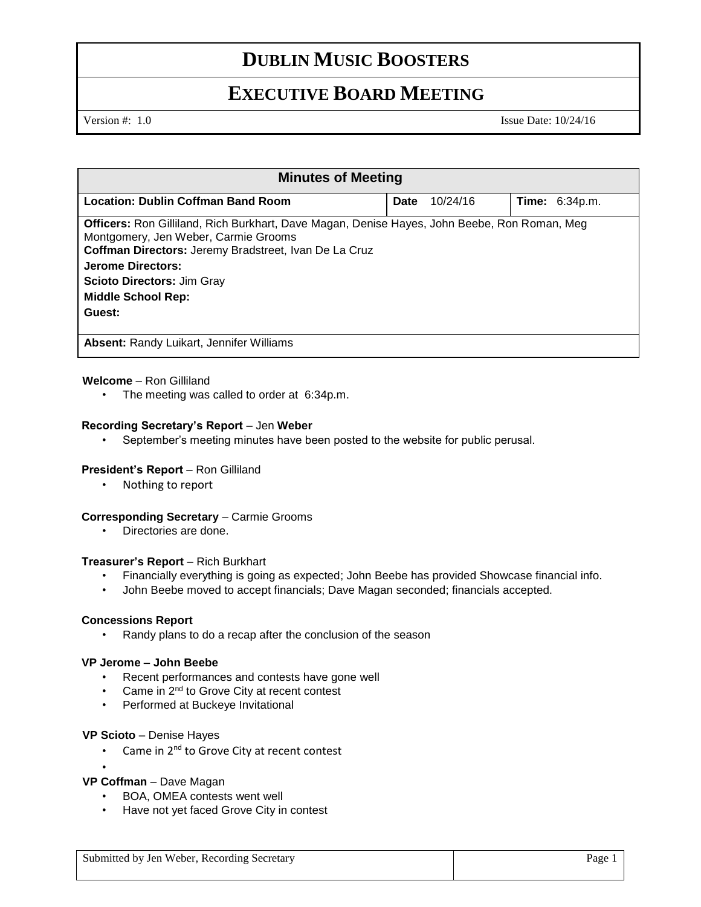## **DUBLIN MUSIC BOOSTERS**

## **EXECUTIVE BOARD MEETING**

Version #: 1.0 Issue Date: 10/24/16

| <b>Minutes of Meeting</b>                                                                                                                                                                     |             |          |                       |  |
|-----------------------------------------------------------------------------------------------------------------------------------------------------------------------------------------------|-------------|----------|-----------------------|--|
| Location: Dublin Coffman Band Room                                                                                                                                                            | <b>Date</b> | 10/24/16 | <b>Time: 6:34p.m.</b> |  |
| Officers: Ron Gilliland, Rich Burkhart, Dave Magan, Denise Hayes, John Beebe, Ron Roman, Meg<br>Montgomery, Jen Weber, Carmie Grooms<br>Coffman Directors: Jeremy Bradstreet, Ivan De La Cruz |             |          |                       |  |
| Jerome Directors:                                                                                                                                                                             |             |          |                       |  |
| <b>Scioto Directors: Jim Gray</b><br><b>Middle School Rep:</b>                                                                                                                                |             |          |                       |  |
| Guest:                                                                                                                                                                                        |             |          |                       |  |
| <b>Absent: Randy Luikart, Jennifer Williams</b>                                                                                                                                               |             |          |                       |  |

## **Welcome** – Ron Gilliland

• The meeting was called to order at 6:34p.m.

## **Recording Secretary's Report** – Jen **Weber**

September's meeting minutes have been posted to the website for public perusal.

## President's Report - Ron Gilliland

• Nothing to report

## **Corresponding Secretary - Carmie Grooms**

• Directories are done.

## **Treasurer's Report** – Rich Burkhart

- Financially everything is going as expected; John Beebe has provided Showcase financial info.
- John Beebe moved to accept financials; Dave Magan seconded; financials accepted.

## **Concessions Report**

Randy plans to do a recap after the conclusion of the season

## **VP Jerome – John Beebe**

- Recent performances and contests have gone well
- Came in 2<sup>nd</sup> to Grove City at recent contest
- Performed at Buckeye Invitational

## **VP Scioto** – Denise Hayes

• Came in 2<sup>nd</sup> to Grove City at recent contest

## **VP Coffman** – Dave Magan

•

- BOA, OMEA contests went well
- Have not yet faced Grove City in contest